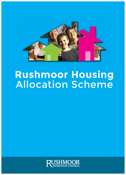

# **Rushmoor Housing** Allocation Scheme

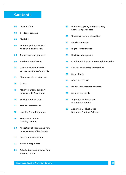## **Contents**

- **02** Introduction
- The legal context **03**
- Eligibility **04**
- Who has priority for social housing in Rushmoor? **07**
- **08** The assessment process
- The banding scheme **09**
- How we decide whether to reduce a person's priority **10**
- Change of circumstances **15**
- Carers **16**
- Moving on from support housing with Rushmoor **16**
- Moving on from care **16**
- Medical assessment **17**
- Housing for older people **17**
- Removal from the banding scheme **19**
- Allocation of vacant and new housing association homes **20**
- Choice and limitations **21**
- New developments **21**
- Adaptations and ground floor accomodation **22**
- Under occupying and releaseing necessary properties **22**
- Urgent cases and discretion **23**
- Local connection **23**
- Right to information **23**
- Reviews and appeals **24**
- Confidentiality and access to information **24**
- False or misleading information **25**
- Special help **25**
- How to complain **25**
- Review of allocation scheme **25**
- Service standards **26**
- Appendix 1 Rushmoor Bedroom Standard **27**
- Appendix 2 Rushmoor Bedroom Banding Scheme **28**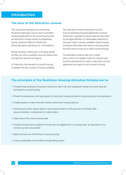### **The aims of the allocation scheme**

This document describes the criteria that Rushmoor Borough Council uses to prioritise housing applicants for the social housing that we allocate to homes owned by Registered Social Landlords (RSLs) in Rushmoor *(these allocations are known as 'nominations')*.

Social housing in Rushmoor is housing owned by RSLs for which guideline rents are determined through the national rent regime.

In Rushmoor, the demand for social housing is greater than the number of homes available. This allocation scheme describes how the Council prioritises housing applicants to ensure that those in greatest housing need *(as described by the legal definition of 'reasonable preference')* are given help to access available social housing, compared with those who have no housing need, but who want to move to or within social housing.

The allocation scheme sets out in detail who is and is not eligible under the scheme and how this assessment is made. It also sets out how applicants can apply for and access housing.

## **The principles of the Rushmoor Housing Allocation Scheme are to:**

- Provide those looking for housing in Rushmoor with a fair and transparent system by which they are prioritised for social housing
- Prevent homelessness and help people to solve their housing problems by giving advice and assistance
- Enable people to make informed choices about their housing options
- Treat everyone fairly, taking steps to avoid discrimination on the grounds of ethnicity, faith, sexual orientation, employment or marital status
- Help those in the most housing need
- Provide housing that is suitable for those who are eligible and in housing need, as described in our scheme as soon as possible
- Make the best use of Rushmoor's social housing
- Create sustainable communities through lettings plans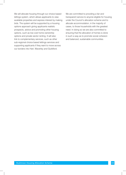We will allocate housing through our choice based lettings system, which allows applicants to view available properties and express interest by making bids. The system will be supported by a housing options approach giving applicants realistic prospects, advice and promoting other housing options, such as low cost home ownership options and private sector renting. It will also link to complementary services, such as other sub-regional choice based lettings services and supporting applicants if they want to move across our borders into Hart, Waverley and Guildford.

We are committed to providing a fair and transparent service to anyone eligible for housing under the Council's allocation scheme and to allocate accommodation, in the majority of cases, to those households with the greatest need. In doing so we are also committed to ensuring that the allocation of homes is done in such a way as to promote social cohesion and balanced, sustainable communities.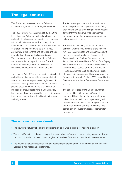## **The legal context**

The Rushmoor Housing Allocation Scheme sits within a tight and complex legal framework.

The 1996 Housing Act (as amended by the 2002 Homelessness Act) requires local authorities to make all allocations and nominations in accordance with an allocations scheme. A summary of the scheme must be published and made available free of charge to any person who asks for a copy. A summary of the scheme and general principles is available at the council offices and online. This document is the full version of the Scheme and is available for inspection at the Council Offices, Farnborough Road. A full version will be available on request for a reasonable fee.

The Housing Act 1996, (as amended) requires local authorities to give reasonable preference in their allocations policies to people with high levels of assessed housing need. This includes homeless people, those who need to move on welfare or medical grounds, people living in unsatisfactory housing and those who would face hardship unless they moved to a particular locality within the local authority's area.

The Act also expects local authorities to state within the policy what its position is on offering applicants a choice of housing accommodation, giving them the opportunity to express their preference about the housing accommodation to be allocated to them.

The Rushmoor Housing Allocation Scheme complies with the requirements of the Housing Act 1996 (as amended) and takes into account the three codes of guidance - Allocation of Accommodation: Code of Guidance for Housing Authorities 2002 issued by the Office of the Deputy Prime Minister, the Allocation of Accommodation: Choice Based Lettings Code of Guidance for Housing Authorities 2008 and Fair and Flexible: Statutory guidance on social housing allocations for local authorities in England 2009, issued by the Communities and Local Government Department (DCLG).

The scheme is also drawn up to ensure that it is compatible with the council's equality responsibilities including the duty to eliminate unlawful discrimination and to promote good relations between different ethnic groups, as well the duty to promote equality. The council has carried out an equality impact assessment for the scheme.

#### **The scheme has considered:**

- The council's statutory obligations and discretion as to who is eligible for housing allocation
- The council's statutory obligation to provide reasonable preference to certain categories of applicants set down by law i.e. those who must be given a 'head start' under the council's allocation scheme
- The council's statutory discretion to grant additional preference and/or to determine priority between applicants with reasonable preference.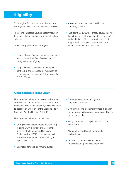## **Eligibility**

To be eligible for the scheme applicants must be 16 years old or over and resident in the UK.

The council allocates housing accommodation to people who are eligible under this allocation scheme.

The following people are not eligible:

- People who are "subject to immigration control" *(unless they fall within a class prescribed by regulations as eligible)*
- People who are not subject to immigration control, but are prescribed by regulation as being "persons from abroad" *(this may include British citizens)*
- Any other person as prescribed by the Secretary of State
- Applicants *(or a member of their household)* who have been guilty of "unacceptable behaviour" and at the time of their application for housing they are still considered unsuitable to be a tenant because of that behaviour

#### **Unacceptable behaviour**

Unacceptable behaviour is defined as behaviour, which would, if an applicant or member of their household were a secure tenant, entitle a landlord to possession under any of the Grounds 1 to 7, Schedule 2 of the Housing Act 1985.

Unacceptable behaviour can include:

- Owing significant rent arrears and/or failing to comply with a current or past tenancy agreement with a council, Registered Social Landlord (RSL) or private landlord to such an extent that a court would grant a possession order
- Conviction for illegal or immoral purpose
- Causing nuisance and annoyance to neighbours or visitors
- Committing certain criminal offences in or near the home and still posing a threat to neighbours or the community
- Being violent towards a partner or members of the family
- Allowing the condition of the property to deteriorate
- Obtaining a tenancy by deception, for example by giving false information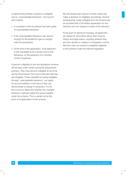In determining whether a person is ineligible due to "unacceptable behaviour", the council will consider:

- If a member of the household has been guilty of unacceptable behaviour
- If the unacceptable behaviour was serious enough for the landlord to get an outright order for possession
- At the time of the application, if the applicant is still unsuitable to be a tenant due to that behaviour, or the behaviour of a member of their household

A person's eligibility to join the allocations scheme will be kept under review during the assessment process. They may become ineligible at any time during the process if the council decides that they are ineligible. Those classified as being ineligible through "unacceptable behaviour" can apply for accommodation in the future if they can demonstrate a change in behaviour. It is for the council to determine whether the changed behaviour claimed makes the person eligible under the scheme. This is carried out at the point of re-application to the scheme.

We will assess each person on their merits and make a decision on eligibility accordingly. Anyone subsequently made ineligible from the scheme will be provided with a full written explanation for the decision and can request a review of the decision.

At the point of asking for housing, all applicants are asked for information about their housing history and legal status, including whether they are from abroad or subject to immigration control. We then carry out checks to establish eligibility to the scheme under the relevant legislation.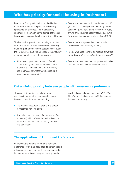## **Who has priority for social housing in Rushmoor?**

Rushmoor Borough Council is required by law to determine the relative priority that housing applicants are awarded. This is particularly important in Rushmoor, as the demand for social housing is far greater than the availability of homes.

The law, as it applies to local housing authorities, requires that reasonable preference for housing must be given to those in the categories set out in the Housing Act 1996 (as amended). The statutory reasonable preference categories cover:

All homeless people as defined in Part VII of the Housing Act 1996 *(whether or not the applicant is owed a statutory homeless duty and regardless of whether such cases have any local connection with)*

- People who are owed a duty under section 190 (2), 193 (2) or 195 (2) of the 1996 Act *(or under section 65 (2) or 68(2) of the Housing Act 1985) or who are occupying accommodation secured by any housing authority under section (192 (3))*
- People occupying unsanitary, overcrowded or otherwise unsatisfactory housing
- People who need to move on medical or welfare grounds *(including grounds relating to a disability)*
- People who need to move to a particular locality to avoid hardship to themselves or others

#### **Determining priority between people with reasonable preference**

The council determines priority between people with reasonable preference by taking into account various factors including:

- The financial resources available to a person to meet their housing costs
- Any behaviour of a person *(or member of their household)* which affects their suitability to be a tenant *(which can include both good and bad behaviour)*
- Any local connection *(as set out in s199 of the Housing Act 1996 (as amended))* that a person has with the borough

#### **The application of Additional Preference**

In addition, the scheme also grants additional preference *(or an extra head start)* to certain people if the council is satisfied that these applicants also have other exceptional or urgent housing needs.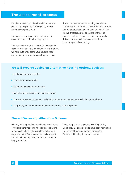## **The assessment process**

People can ask to join the allocation scheme in person, by telephone, in writing or by email to our housing options team.

There are no application forms to complete, as we no longer hold a housing register.

The team will arrange a confidential interview to discuss your housing circumstances. The interview will help us to understand your housing need and to decide how best we can help resolve it.

There is a big demand for housing association homes in Rushmoor, which means for most people, this is not a realistic housing solution. We will aim to give practical advice about the chances of being allocated a housing association property. This also includes clear advice when there is no prospect of re-housing.

#### **We will provide advice on alternative housing options, such as:**

- Renting in the private sector
- Low cost home ownership
- Schemes to move out of the area
- Mutual exchange options for existing tenants
- Home improvement schemes or adaptation schemes so people can stay in their current home
- Supported/sheltered accommodation for older and disabled people

#### **Shared Ownership Allocation Scheme**

We may advise people to consider low cost home ownership schemes run by housing associations. To access this type of housing they will need to register with the Government Help to Buy agent for Hampshire (Help to Buy South), and we can help you do this.

Once people have registered with Help to Buy South they are considered to have been nominated for low cost housing schemes through the Rushmoor Housing Allocation scheme.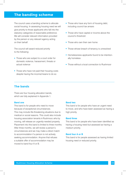## **The banding scheme**

The council uses a banding scheme to allocate social housing. In assessing housing need we will give priority to those applicants who fall into the statutory categories of reasonable preference. We will consider relevant information provided by the person or any relevant agency acting on their behalf.

The council will award reduced priority to the following:

- Those who are subject to a court order for domestic violence, harassment, threats or actual violence
- Those who have not paid their housing costs despite having the income/means to do so
- Those who have any form of housing debt, including council tax arrears
- Those who have capital or income above the council's threshold
- Those who own their own home
- Those whose breach of tenancy is unresolved
- Homelessness applicants found to be intentionally homeless
- Those without a local connection to Rushmoor

#### **The bands**

There are four housing allocation bands, which are fully explained in Appendix 1.

#### **Band one**

This band is for people who need to move because of exceptional circumstances. This may include life-threatening situations due to medical or social reasons. This could also include housing association tenants in Rushmoor, who by moving, will release an urgently-needed property. Placement into this band is limited to three months. After three months, we will review a person's circumstances and we may make a direct match to accommodation if a person is not actively seeking accommodation. Anyone that refuses a suitable offer of accommodation may be moved to band four A or B.

#### **Band two**

This band is for people who have an urgent need to move, and who have been assessed as having a high priority.

#### **Band three**

This band is for people who have been identified as having a housing need but assessed as having a medium priority.

#### **Band four A or B**

This band is for people assessed as having limited housing need or reduced priority.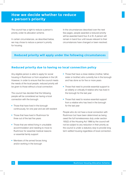## **How we decide whether to reduce a person's priority**

The council has a right to reduce a person's priority under its allocation scheme.

In certain circumstances, as described below, we may chose to reduce a person's priority for housing.

In the circumstances described over the next few pages, people awarded a reduced priority will be awarded band four A or B. A person will remain in band four until issues relevant to their circumstances have changed or been resolved.

## **Reduced priority will apply under the following circumstances**

#### **Reduced priority due to having no local connection policy**

Any eligible person is able to apply for social housing in Rushmoor or from anywhere in the UK. However, in order to ensure that the council meets the needs of the local people, reduced priority will be given to those without a local connection.

The council has decided that the following people will be considered as having a local connection with the borough:

- Those that have lived in the borough continuously, for one year and are still resident
- Those that have lived in Rushmoor for three out of the last five years
- Those that are retired living in unsuitable accommodation and needing to move to Rushmoor for essential medical reasons or essential family support
- Members of the armed forces living and/or working in the borough
- Those that have a close relative (mother, father, sister or brother) who currently live in the borough and has done so for five or more years
- Those that need to provide essential support to an elderly or critically ill relative who has lived in the borough for the last year
- Those that need to receive essential support from a relative who has lived in the borough for the last year

People who do not have a local connection with Rushmoor but have been determined as being owed the full homelessness duty under section 193(2) of the Housing Act 1996 by the council will not be subject to any reduction in their priority as the council is under a statutory duty to provide long term settled housing regardless of local connection.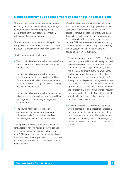### **Reduced priority due to rent arrears or other housing related debt**

This would include current or former rent arrears (including temporary accommodation), damage to a former social housing property or legal costs arising from court action in connection with a current or former tenancy.

This will be assessed at the point when priority is being assessed unless new information comes to the council's attention after their initial assessment.

The following procedure will apply:

- The council will consider whether the arrears/debt are still owed, and if they do, the extent of the arrears/debt
- The council will consider whether there are exceptional circumstances, as described below. If there are exceptional circumstances then the applicant may not be subject to reduced priority despite the arrears/debt
- The council will consider whether the person has taken debt advice, acted on it, and entered into and begun to implement any arrangement to clear the arrears
- The council will consider whether an arrangement has been made, the amount of arrears paid off, any debt outstanding, and the regularity of any payments made

After applying the above procedure concerning rent arrears or housing related debt, the council may reduce the person's priority to band four A or B. The council will carry out reviews of those in band four to ensure that people who fail to address the reason for their demotion are made ineligible for the scheme.

We will review a person's situation at their request and if we are satisfied that appropriate action has been taken to address the arrears, we may decide to remove the reduced priority and place them in the band relevant to their housing need. The decision to reduce priority is made as soon as we have full information on the situation. If, having checked, the person falls into any of the following arrears categories, the council will take the appropriate action set out below:

- A person who owes between £100 and £1000 in a housing debt will have their priority reduced and be demoted to band four A/B. Before they can be placed into a higher band, they must make regular payments over a 13-week period and have reduced their debt by at least half. These payments may be weekly, fortnightly, four weekly or monthly payments as agreed but must not be missed. If these requirements are met the applicant may be placed into a higher band on the condition that they continue to make regular payments to clear the debt. Should they default, while in a higher band it is likely they will be demoted to band four A or B.
- A person owing over £1000 in housing debts will be deemed ineligible except for exceptional personal circumstances that will be considered on a case-by-case basis. At this level of arrears, they are considered by the council to be guilty of unacceptable behaviour and to be unsuitable as a tenant.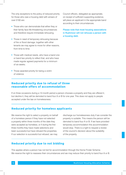The only exceptions to the policy of reduced priority for those who owe a housing debt with arrears of over £100 are:

- Those who can demonstrate that either they or their family face life-threatening circumstances and therefore require immediate rehousing.
- Those in need of temporary rehousing because of fire or flood damage, together with other tenants we may agree to move for other reasons, from time to time.
- Those with medical needs, who have a band one or band two priority to reflect that, and who have made regular agreed payments for a minimum of six weeks.
- Those awarded priority for being a victim of violence.

Council officers, delegated as appropriate, on receipt of sufficient supporting evidence, will place an applicant in the appropriate band according to their circumstances.

Please note that most housing associations in Rushmoor will not rehouse a person with a housing debt.

#### **Reduced priority due to refusal of three reasonable offers of accommodation**

If on three occasions during a 12-month period a person chooses a property and they are offered it, but decline it, they will be demoted to band four A or B for one year. This does not apply to people accepted under the law on homelessness.

#### **Reduced priority for homeless applicants**

We reserve the right to select a property on behalf of a homeless person if they have not selected a property within three months of the date they were accepted as homeless, or if during the first three months they have made selections and been successful but have refused the properties. If our selection is successful but refused, we may

discharge our homelessness duty if we consider the property is suitable. This means the person will be demoted to band four A or B. If we have provided temporary accommodation this accommodation would stop. There is a right to request a review of the council's decision about the suitability of the property.

#### **Reduced priority due to not bidding**

This applies where a person has not bid for accommodation through the Home Finder Scheme. We reserve the right to reassess their circumstances and we may reduce their priority to band four A or B.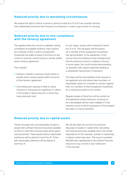#### **Reduced priority due to worsening circumstances**

We reserve the right to reduce a person's priority to band four A or B if we consider that they have deliberately worsened their housing circumstances in order to gain priority for housing.

#### **Reduced priority due to non-compliance with the tenancy agreement**

This applies where the council is satisfied, having considered all available evidence, that a person *(or a member of their current or prospective household)* has failed to keep to the terms of any current or previous social housing or private rented sector tenancy agreement.

This includes:

- Failing to maintain a previous social rented or private sector rented property within the terms of their tenancy agreement
- Committing acts causing or likely to cause nuisance or annoyance to neighbours or others in the locality of where they live or where they have previously lived

In such cases, priority will be reduced to band four A or B. This will apply until the person *(or a member of their prospective household)* has demonstrated, to the satisfaction of the council, that circumstances have changed such that the previous conduct is unlikely to reoccur. In some cases, this could include demonstrating co-operation with support agencies leading to a substantial improvement in behaviour.

The status will be reconsidered at the request of the applicant and only where there has been no reasonable cause for complaint or concern against them (or members of their prospective household) for a continuous period of six months.

Regular reviews of band four will be carried out and applicants whose behaviour continues to be unacceptable will be made ineligible if it has reached a point at which possession of the property has been or may be achieved.

#### **Reduced priority due to capital assets**

Owner-occupiers who are adequately housed or people with sufficient financial resources available to them to meet their housing needs will be given reduced priority. These people without reasonable preference will be placed in band four B. Those with reasonable preference will be placed in band four A.

We will also take into account any previous disposals of assets or capital when calculating the financial resources available which will include disposals for nil (for example, transfer of ownership) or below market rate value. The council considers £60,000 total capital/asset to be sufficient financial resource to buy a home or pay market rent in the borough.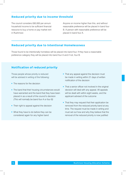#### **Reduced priority due to income threshold**

The council considers £60,000 per annum household income to be sufficient financial resource to buy a home or pay market rent in Rushmoor.

Anyone on income higher than this, and without reasonable preference will be placed in band four B. A person with reasonable preference will be placed in band four A.

#### **Reduced priority due to Intentional Homelessness**

Those found to be intentionally homeless will be placed into band four. If they have a reasonable preference category they will be placed into band four A and if not, four B.

## **Notification of reduced priority**

Those people whose priority is reduced will be advised in writing of the following:

- The reasons for the decision
- The band that their housing circumstances would have warranted and the band that they have been placed in as a result of the council's decision *(This will normally be band four A or four B)*
- Their right to appeal against the decision
- What they have to do before they can be considered again for any higher band
- That any appeal against the decision must be made in writing within 21 days of written notification of the decision
- That a senior officer not involved in the original decision will deal with any appeal. All appeals will be dealt with within eight weeks, and the applicant advised of the outcome
- That they may request that their application be removed from the reduced priority band at any time. The request must be made in writing and must set out how and why they believe that the removal of the reduced priority is now justified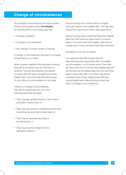## **Change of circumstances**

Any change of circumstances should be notified to the housing options team *immediately*, for example *(this is not an exhaustive list)*:

- Change of address
- Changes in the household
- Any change in income, assets or savings

A change in circumstances may lead to a change of band either up or down.

When a person applies to the allocation scheme, they will be accepted once all information is received. They will be assessed and placed in a band with the date of acceptance as their eligible date. This is the date that will be used for any offers of accommodation to be made.

If there is a change of circumstances, they will be reassessed and one of the following outcomes will apply:

- They may gain greater priority on the scheme and enter a higher band, or
- They may lose priority or preference due to their circumstances and enter a lower band, or
- They may be assessed as being in the same band, or
- They may become ineligible for the allocations scheme

Anyone moving from a lower band to a higher band will recieve a new eligible date - the date they moved from band two to three. (See appendix 2)

Anyone moving down a band will keep their eligible date from their previous higher band. If a person stays in the same band their eligible, date will not change even if new information has been assessed.

Exceptions to this are as follows:

If an applicant has their priority reduced after refusing three reasonable offers of suitable accommodation, in a 12 month period, then they will enter band four A or B and their eligible date will be the same as the eligible date from the band they were in previously. After 12 months, they will be reinstated back to their original band with their original higher band date *(as long as there has been no change of circumstances)*.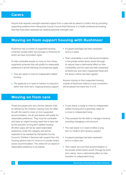## **Carers**

Anyone that requires overnight essential support from a carer will be asked to confirm this by providing supporting evidence from Hampshire County Council Adult Services or a health professional showing that they have been assessed as needing essential overnight care.

## **Moving on from support housing with Rushmoor**

Rushmoor has a number of supported housing schemes located within the borough or schemes for which we have nomination rights.

To help vulnerable people to move on from these supported schemes they will qualify for reasonable preference if all the following circumstances apply:

- They are ready to move to independent settled housing
- The applicant is in need of medium to long term rather than short term; ongoing tenancy support
- A support package has been assessed and is in place
- Their vulnerability is such that accommodation in the private rented sector would (through its nature) have a detrimental effect on their vulnerability and the case has been presented at Rushmoor and Hart's Supported Panel and the above criteria has been agreed

Anyone moving on from supported housing outside of Rushmoor without a local connection will be placed into band four A or B.

## **Moving on from care**

These are people who are a former relevant child as defined by the Children Leaving Care Act 2002. As with the need to move on from supported accommodation, not all care leavers will qualify for reasonable preference. They must be vulnerable and have an urgent housing need that is best met by the provision of long-term settled housing. All other cases will not be owed reasonable preference under this category and will be expected to be assisted by Hampshire County Council's Children's Services with support from the housing options team to move on to private rented sector accommodation. The criteria for an award of reasonable preference is as follows:

- A care leaver is ready to move to independent settled housing and is genuinely ready for a move to independent living
- They possess the life skills to manage a tenancy including managing a rent account
- The care leaver is in need of either a long term or medium term tenancy support
- $\bullet$ A support package has been assessed and is in place and
- Their needs are such that accommodation in the private rented sector would, through its short term nature, have a detrimental effect on their transition to independent living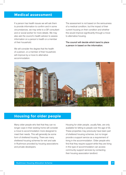## **Medical assessment**

If a person has health issues we will ask them to provide information to confirm and in some circumstances, we may write to a GP, consultant and or social worker for more details. We may also ask the council's health advisor to assess information on a person's health or a member of their household.

We will consider the degree that the health of a person, or a member of their household, will improve by a move to alternative accommodation.

The assessment is not based on the seriousness of a medical condition, but the impact of their current housing on their condition and whether this would improve significantly through a move to alternative housing.

The council will decide which band to place a person in based on the information.



## **Housing for older people**

Many older people who feel that they can no longer cope in their existing home will consider a move to accommodation more designed to meet their needs. This will generally be some form of sheltered housing. There are many sheltered housing schemes for rent and sale in Rushmoor provided by housing associations and private developers.

Housing for older people, usually flats, are only available for letting to people over the age of 55. These properties may previously have been part of sheltered housing schemes, but no longer provide a support service as a requirement of living in the accommodation. Older people who find that they require support while they are living in this type of accommodation can access community support services by contacting their housing association landlord.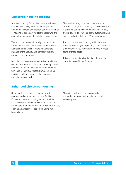#### **Sheltered housing for rent**

Sheltered housing for rent is a housing scheme that has been designed for older people, with communal facilities and support services. This type of housing is principally for older people who are able to live independently with low support needs.

The accommodation will usually consist of flats for people who are independent but either want a smaller home, which is more convenient to manage or the security and company that this style of living can provide.

Most flats will have a separate bedroom, with their own kitchen, toilet and bathroom. The majority are unfurnished, so that they can be decorated and furnished to individual tastes. Some communal facilities, such as a lounge or laundry facilities may also be provided.

Sheltered housing schemes provide support to residents through a community support service that is available during office hours between Monday and Friday. All flats have an alarm system installed that link individual flats to a 24 hour call centre.

The cost for sheltered housing will include rent and a service charge. Depending on your financial circumstances, you may qualify for help to meet some of these costs.

This accommodation is advertised through the council's Home Finder Scheme.

### **Enhanced sheltered housing**

Some sheltered housing schemes provide an enhanced range of services and facilities. Enhanced sheltered housing for rent provides increased levels of care and support, sometimes from a care team based on site. Additional facilities, such as a bathroom for assisted bathing may be available.

Allocations to this type of accommodation are made through a joint housing and adult services panel.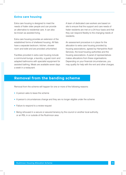#### **Extra care housing**

Extra care housing is designed to meet the needs of frailer older people and can provide an alternative to residential care. It can also be known as assisted living.

Extra care housing provides an extension of the established forms of sheltered housing. All flats have a separate bedroom, kitchen, shower room and toilet and are provided unfurnished.

Facilities provided in extra care housing include a communal lounge, a laundry, a guest room and adapted bathrooms with specialist equipment for assisted bathing. Meals are available seven days a week in a restaurant.

A team of dedicated care workers are based on site to ensure that the support and care needs of frailer residents are met on a 24-hour basis and that they can respond flexibly to the changing needs of residents.

An assessment procedure is in place for the allocation to extra care housing provided by housing associations, agreed by Hampshire Adult Services, the local housing authorities and the housing associations. A panel of representatives makes allocations from these organisations. Depending on your financial circumstances, you may qualify for help with the rent and other charges.

## **Removal from the banding scheme**

Removal from the scheme will happen for one or more of the following reasons:

- A person asks to leave the scheme
- A person's circumstances change and they are no longer eligible under the scheme
- Failure to respond to a review request
- Being rehoused in a secure or assured tenancy by the council or another local authority, or an RSL in or outside of the Rushmoor area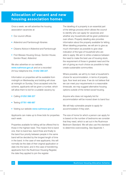## **Allocation of vacant and new housing association homes**

Once a week, we will advertise the housing association vacancies at:

- Our council offices
- Aldershot and Farnborough libraries
- **Citizens Advice in Aldershot and Farnborough**
- **First Wessex Housing Group, Gordon House,** Gordon Road, Aldershot

We also advertise on our website. www.rushmoor.gov.uk and on a recorded 24 hour telephone line, 01252 398 227.

Information on properties will be available from midnight on Wednesday and bidding will close at midnight on Sunday. Once accepted onto the scheme, applicants will be given a number, which will allow them to bid for a suitable vacancy by:

- Calling 01252 398 227
- Texting 07781 486 687
- Visiting our website www.rushmoor.gov.uk

Applicants can make up to three bids for properties each week.

Properties available for letting will be offered first to those in the highest need. This means first to band one, then to band two, band three and finally to the band four priority between people in the same band will be decided by the longest length of time in the band. In the case of new applicants, this will normally be the date of their original application or date into the band, and in the case of transferring applicants from the Rushmoor Housing Register, the date they applied to join the register.

The labelling of a property is an essential part of the lettings process which allows the council to identify who can apply for vacancies and whether any households will be given preference over others. Property labelling also provides information about the property available for letting. When labelling properties, we will aim to give as much information as possible to give clear indication of the type of household who are able to apply. We aim to strike a balance between the need to make the best use of housing stock, the requirement of those in greatest need and the aim of giving as much choice as possible to help create sustainable communities.

Where possible, we will try to meet a household's choice for accommodation, in terms of property type, floor level and area. If we do not believe that we can meet your requirements in a reasonable timescale, we may suggest alternative housing options outside of the rented social housing.

Anyone who does not regularly bid for accommodation will be moved down to band four.

We will help vulnerable people to apply for accommodation if they wish.

The size of home for which a person can apply for is based on the number of bedrooms we consider that they need, which is set out in the Rushmoor Bedroom Standard. We will also use this standard to determine overcrowding. See Appendix 1.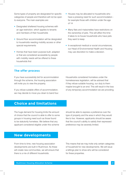Some types of property are designated for specific categories of people and therefore will not be open to everyone. The main examples are:

- Designated sheltered housing schemes with an age restriction, which applies to tenants and members of their households
- Ground floor accommodation will be designated to households needing mobility access or other special requirements
- Homes that have been purpose built, adapted or that are considered accessible by people with mobility needs will be offered to these households first
- Houses may be allocated to households who have a pressing need for such accommodation for example those with children under the age of 14
- Many flats and maisonettes have restrictions on the ownership of pets. This will affect the time it takes to re-house households who have pets they want to keep
- In exceptional medical or social circumstances, our Head of Environmental Health and Housing may use discretion to make a decision.

#### **The offer process**

If you have successfully bid for accommodation through the scheme, the housing association will invite you to view the property.

If you refuse suitable offers of accommodation, we may decide to move you down to band four. Households considered homeless under the homelessness legislation, will be advised that if they refuse suitable housing, our duty to them maybe brought to an end. This will result in the loss of any temporary accommodation we are providing.

## **Choice and limitations**

The huge demand for housing limits the amount of choice that the council is able to offer to some groups in housing need such as those found to be statutorily homeless. We believe that any applicant considered eligible under this scheme

should be able to express a preference over the type of property and the area in which they would like to live. However, applicants should be aware that the council's ability to satisfy their expressed preference may be severely limited.

## **New developments**

From time to time, new housing association developments are built in Rushmoor. As these will create new communities, we will ensure that there is a mix of different households.

This means that we may invite only certain categories of household for new developments. We will issue a lettings plan to show who will be considered for these properties.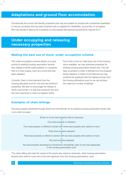## **Adaptations and ground floor accomodation**

Occasionally the council will identify properties that may be suitable for people with substantial disabilities. It may be a property that has been purpose built or adapted for disabilities, gound floor or bungalow. We may decide to label such a property so only people with special requirements may bid for it.

## **Under occupying and releasing necessary properties**

### **Making the best use of stock: under occupation scheme**

The under occupation scheme allows us to give priority to existing housing association tenants who release a family sized property or a property that is in short supply, such as a home that has been adapted.

Currently, there is most demand from the housing allocation pool for one and two bedroom properties. We wish to encourage the release of family size homes in a way that produces one and two bed vacancies to meet our highest needs.

From time to time to make best use of the housing stock available, we may advertise properties for existing housing association tenant only. This will help us achieve a chain of lettings from the property being released. In these circumstances we may overlook the applicant with the highest priority from the housing allocations pool so we can achieve the maximum number of lettings.

#### **Examples of chain lettings**

Two bed property advertised though Rushmoor Homefinder for an existing housing association tenant who is an under occupier.

> Tenant of a four bed property bids to downsize Four bed property is released Four bed property is offered to tenant with three bed property who wants to move Three bed property is offered to tenant with two bed property who wants to move Two bed property advertised on Rushmoor Homefinder open to two bed applicants in the housing association pool. Three bed property released Two bed property released

This chain letting will meet the needs of the tenant who wants to downsize, other housing association tenants who need to move and a two bed applicant from the housing associations' pool.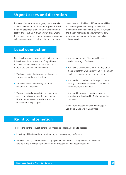## **Urgent cases and discretion**

In cases of an extreme emergency, we may make a direct match of an applicant to property. This will be at the discretion of our Head of Environmental Health and Housing. A situation may arise where the council's banding scheme does not adequately address a person's urgent housing need in such

cases the council's Head of Environmental Health and Housing reserves the right to override the scheme. These cases will be few in number and closely monitored to ensure that the duty to achieve reasonable preference overall is not compromised.

## **Local connection**

People will recieve a higher priority in the scheme if they have a local connection. They will need to prove that their household satisfies one or more of the local connection criteria:

- You have lived in the borough continuously, for one year and are still resident
- You have lived in the borough for three out of the last five years
- You are a retired person living in unsuitable accommodation and needing to move to Rushmoor for essential medical reasons or essential family support
- You are a member of the armed forces living and/or working in Rushmoor
- You have a close relative (your mother, father, sister or brother) who currently live in Rushmoor and has done so for five or more years
- You need to provide essential support to an elderly or critically ill relative who has lived in Rushmoor for the last year.
- You need to receive essential support from a relative who has lived in Rushmoor for the last year.

Those with no local connection cannot join Band one, Band two or Band three

# **Right to information**

There is the right to request general information to enable a person to assess:

- How they will be treated and whether they will be given any preference
- Whether housing accommodation appropriate to their needs is likely to become available and how long they may have to wait for an allocation of such accommodation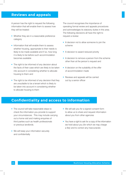## **Reviews and appeals**

A person has the right to request the following information that will enable them to assess how they will be treated:

- Whether they are in a reasonable preference category
- Information that will enable them to assess whether housing, appropriate to their needs is likely to be made available and if so, how long it is likely to be before such accommodation becomes available
- The right to be informed of any decision about the facts of their case which are likely to be taken into account in considering whether to allocate housing to them and
- The right to be informed of any decision that they are unsuitable to be a tenant which is likely to be taken into account in considering whether to allocate housing to them

The council recognises the importance of operating formal review and appeals procedures and acknowledges its statutory duties in this area. The following decisions all have the right to request a review:

- A decision not to allow someone to join the scheme
- A decision to award reduced priority
- A decision to remove a person from the scheme other than at the person's request and
- A decision on the suitability of the offer of accommodation made
- Reviews and appeals will be carried out by a senior officer

## **Confidentiality and access to information**

- The council will take reasonable steps to check the information you provide to support your circumstances . This may include carrying out a home visit and making enquiries of third parties such as health professionals or previous landlords.
- We will keep your information securely and confidentially
- We will ask you for a signed consent form to allow us to share and request information about you from other agencies
- You have a right to ask for a copy of the information we hold about you *(for which we may charge a fee)* and to correct any inaccuracies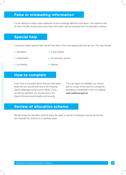## **False or misleading information**

It is an offence to make a false statement and/or knowingly withhold information. The maximum fine for this is £5,000. Anyone who gives false information may be excluded from the allocation scheme.

## **Special help**

If someone needs special help, we will help them in the most appropriate way we can. This may include:

• Translation

A loop system

• Interpretation

• An advocacy service

• Lip-reading

• Signing

## **How to complain**

If you have a complaint about how you have been dealt with you should write first to the Housing Options Manager at the council offices. If you are still not satisfied, you should write to the Head of Environmental Health and Housing.

If you are again not satisfied, you should ask for a copy of the council's complaints procedure or download it from our website www.rushmoor.gov.uk

## **Review of allocation scheme**

We will review the allocation scheme every two years or sooner if necessary and we will monitor and evaluate the scheme on a quarterly basis.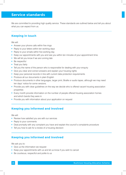## **Service standards**

We are committed to providing high quality service. These standards are outlined below and tell you about what you can expect from us.

#### **Keeping in touch**

We will:

- Answer your phone calls within five rings
- Reply to your letters within ten working days
- Reply to your emails within five working day
- Keep our appointments with you and see you within ten minutes of your appointment time.
- We will let you know if we are running late
- Be respectful
- Treat you fairly
- Tell you the name of the person who is responsible for dealing with your enquiry
- Give you clear and correct answers and explain your housing rights
- Keep your personal records in line with current data protection requirements
- Produce all our documents in plain English
- Produce documents in other languages, larger print, Braille or audio tapes, although we may need ten days' notice for some versions.
- Provide you with clear guidelines on the way we decide who is offered vacant housing association properties
- Every month provide information on the number of people offered housing association homes and which bands they were in
- Provide you with information about your application on request

## **Keeping you informed and involved**

We will:

- Review how satisfied you are with our services
- Reply to your comments
- Deal promptly with any complaint you have and explain the council's complaints procedure
- Tell you how to ask for a review of a housing decision

## **Keeping you informed and involved**

We ask you to:

- Give us the information we request
- Keep your appointments with us and let us know if you wish to cancel
- Be courteous, respectful and polite to us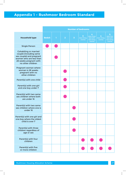# **Appendix 1 - Rushmoor Bedroom Standard**

|                                                                                                                                                              | <b>Number of bedrooms</b> |   |                |                         |                            |                                                      |                            |                                                     |
|--------------------------------------------------------------------------------------------------------------------------------------------------------------|---------------------------|---|----------------|-------------------------|----------------------------|------------------------------------------------------|----------------------------|-----------------------------------------------------|
| <b>Household type</b>                                                                                                                                        | <b>Bedsit</b>             | п | $\overline{2}$ | $\overline{\mathbf{3}}$ | 3<br>(two living<br>rooms) | 4<br>(also three<br>bed with<br>two living<br>rooms) | 4<br>(two living<br>rooms) | 5<br>(also four<br>bed with<br>two living<br>rooms) |
| <b>Single Person</b>                                                                                                                                         |                           |   |                |                         |                            |                                                      |                            |                                                     |
| <b>Cohabiting or married</b><br>couple (including same<br>sex couple) and pregnant<br>women who are less than<br>28 weeks pregnant with<br>no other children |                           |   |                |                         |                            |                                                      |                            |                                                     |
| Pregnant woman where<br>woman is 28 weeks<br>pregnant with no<br>other children                                                                              |                           |   |                |                         |                            |                                                      |                            |                                                     |
| Parent(s) with one child                                                                                                                                     |                           |   |                |                         |                            |                                                      |                            |                                                     |
| Parent(s) with one girl<br>and one boy under 7                                                                                                               |                           |   |                |                         |                            |                                                      |                            |                                                     |
| Parent(s) with two same<br>sex children where both<br>are under 16                                                                                           |                           |   |                |                         |                            |                                                      |                            |                                                     |
| Parent(s) with two same<br>sex children where one is<br>under 16                                                                                             |                           |   |                |                         |                            |                                                      |                            |                                                     |
| Parent(s) with one girl and<br>one boy where the oldest<br>child is over 7                                                                                   |                           |   |                |                         |                            |                                                      |                            |                                                     |
| Parent(s) with three<br>children regardless of<br>age or sex                                                                                                 |                           |   |                |                         |                            |                                                      |                            |                                                     |
| Parent(s) with four<br>children                                                                                                                              |                           |   |                |                         |                            |                                                      |                            |                                                     |
| Parent(s) with five<br>or more children                                                                                                                      |                           |   |                |                         |                            |                                                      |                            |                                                     |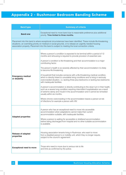# **Appendix 2 - Rushmoor Bedroom Banding Scheme**

| <b>Band type</b>                          | <b>Summary of criteria</b>                                                                                                                                                                                                                                                                                                                                                                                                                                                                                                                                                                                                                                                                                                                                                                                                                                                                                                                                                                                                                                                                  |  |  |
|-------------------------------------------|---------------------------------------------------------------------------------------------------------------------------------------------------------------------------------------------------------------------------------------------------------------------------------------------------------------------------------------------------------------------------------------------------------------------------------------------------------------------------------------------------------------------------------------------------------------------------------------------------------------------------------------------------------------------------------------------------------------------------------------------------------------------------------------------------------------------------------------------------------------------------------------------------------------------------------------------------------------------------------------------------------------------------------------------------------------------------------------------|--|--|
| <b>Band one</b>                           | Exceptional need to move band due to reasonable preference plus additional<br>priority. Time limited to three months.                                                                                                                                                                                                                                                                                                                                                                                                                                                                                                                                                                                                                                                                                                                                                                                                                                                                                                                                                                       |  |  |
|                                           | Placement into this band is where exceptional circumstances have been identified. These include life-threatening<br>situations, an overriding priority on medical or social grounds, or to release an urgently needed housing<br>association property. Placement into this band is subject to meeting the local connection criteria.                                                                                                                                                                                                                                                                                                                                                                                                                                                                                                                                                                                                                                                                                                                                                        |  |  |
| <b>Emergency medical</b><br>or disability | Where a person's condition is expected to be terminal within a period of 12<br>months and rehousing is required to provide provision of essential care.<br>A person's condition is life-threatening and their accommodation is a major<br>contributing factor.<br>The person's health is so severely affected by their accommodation it is likely<br>to become life threatening.<br>A household that includes someone with a life-threatening medical condition,<br>which is directly linked to unsuitable living conditions and is living in seriously<br>overcrowded situation, i.e. lacking three plus bedrooms or lacking two bedrooms<br>with inadequate facilities.<br>A person's accommodation is directly contributing to the down turn in their health,<br>such as a severe lung condition requiring intermittent hospitalisation as a result<br>of extreme damp and mould in the accommodation and it cannot be remedied<br>usually within six months.<br>Where chronic overcrowding in the accommodation leaves a person at risk<br>of infections for example a person with HIV. |  |  |
| <b>Adapted properties</b>                 | A person who has an exceptional need to move into accessible<br>accommodation when adaptations cannot make their current<br>accommodation suitable, with inadequate facilities.<br>Where a person is waiting for accessible or sheltered accommodation<br>before being discharged from hospital and no other suitable accommodation<br>is available.                                                                                                                                                                                                                                                                                                                                                                                                                                                                                                                                                                                                                                                                                                                                        |  |  |
| <b>Release of adapted</b><br>properties   | Housing association tenants living in Rushmoor, who want to move<br>from a disabled person's or mobility unit, which they no longer require,<br>subject to the council's agreement.                                                                                                                                                                                                                                                                                                                                                                                                                                                                                                                                                                                                                                                                                                                                                                                                                                                                                                         |  |  |
| <b>Exceptional need to move</b>           | Those who need to move due to serious risk to life<br>and limb as confirmed by the police.                                                                                                                                                                                                                                                                                                                                                                                                                                                                                                                                                                                                                                                                                                                                                                                                                                                                                                                                                                                                  |  |  |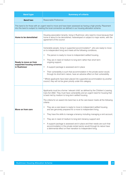| <b>Band type</b>                                                                                                                                                                                                         | <b>Summary of criteria</b>                                                                                                                                                                                                                                                                                                                                                                                                                                                                                                                                                                                                                                                                                                                                                                                                                                                                               |  |  |
|--------------------------------------------------------------------------------------------------------------------------------------------------------------------------------------------------------------------------|----------------------------------------------------------------------------------------------------------------------------------------------------------------------------------------------------------------------------------------------------------------------------------------------------------------------------------------------------------------------------------------------------------------------------------------------------------------------------------------------------------------------------------------------------------------------------------------------------------------------------------------------------------------------------------------------------------------------------------------------------------------------------------------------------------------------------------------------------------------------------------------------------------|--|--|
| <b>Band two</b>                                                                                                                                                                                                          | Reasonable Preference                                                                                                                                                                                                                                                                                                                                                                                                                                                                                                                                                                                                                                                                                                                                                                                                                                                                                    |  |  |
| This band is for those with an urgent need to move and have been assessed as having a high priority. Placement<br>into this band is subject to meeting the local connection as defined in our housing allocation scheme. |                                                                                                                                                                                                                                                                                                                                                                                                                                                                                                                                                                                                                                                                                                                                                                                                                                                                                                          |  |  |
| Home to be demolished                                                                                                                                                                                                    | Housing association tenants, living in Rushmoor, who need to move because their<br>home is about to be demolished, redeveloped or subject to major works, with the<br>agreement of the council.                                                                                                                                                                                                                                                                                                                                                                                                                                                                                                                                                                                                                                                                                                          |  |  |
| Ready to move on from<br>supported housing schemes<br>in Rushmoor                                                                                                                                                        | Vulnerable people, living in supported accommodation*, who are ready to move<br>on to independent living and meets all the following conditions;<br>The person is ready to move to independent settled housing,<br>$\bullet$<br>They are in need of medium to long term rather than short term<br>$\bullet$<br>ongoing support,<br>A support package is assessed and in place<br>$\bullet$<br>Their vulnerability is such that accommodation in the private sector would,<br>$\bullet$<br>through its short-term nature, have an adverse effect on their vulnerability.<br>* Where applicants have been placed into supported accommodation by another<br>council, they will not be given priority under this category.                                                                                                                                                                                  |  |  |
| Move on from care                                                                                                                                                                                                        | Applicants must be a former 'relevant child' as defined by the Children's Leaving<br>Care Act 2002. They must have vulnerability and an urgent need for housing that<br>is best met by medium to long-term settled housing.<br>The criteria for an award into band two is at the care leaver meets all the following<br>criteria:<br>They are a care leaver is ready to move to independent settled housing<br>$\bullet$<br>and are genuinely prepared for a move to independent living,<br>They have the skills to manage a tenancy including managing a rent account,<br>$\bullet$<br>They are in need of medium to long term tenancy support and<br>$\bullet$<br>A support package is assessed and in place and their needs are such that<br>$\bullet$<br>accommodation in the private rented sector would through its nature have<br>a detrimental effect on their transition to independent living. |  |  |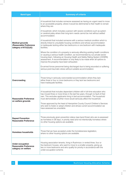| <b>Band type</b>                                                               | <b>Summary of criteria</b>                                                                                                                                                                                                                                                                                                                                                  |  |  |  |
|--------------------------------------------------------------------------------|-----------------------------------------------------------------------------------------------------------------------------------------------------------------------------------------------------------------------------------------------------------------------------------------------------------------------------------------------------------------------------|--|--|--|
| <b>Medical grounds</b><br>(Reasonable Preference<br>category s1672(2)(d))      | A household that includes someone assessed as having an urgent need to move<br>to an accessible property, where it would be detrimental to their health to remain<br>where they are.                                                                                                                                                                                        |  |  |  |
|                                                                                | A household, which includes a person with severe conditions such as autism<br>or cerebral palsy where their long-term needs cannot be met without settled<br>accommodation.                                                                                                                                                                                                 |  |  |  |
|                                                                                | A household that included someone with a serious medical condition which is<br>directly linked to unsuitable housing conditions and whose accommodation<br>is inadequate lacking either two bedrooms or one bedroom with inadequate<br>facilities.                                                                                                                          |  |  |  |
|                                                                                | Where the condition of a property is seriously affecting existing health conditions<br>or causing a serious health condition, as recommended by our private sector<br>housing team, following an Housing Health and Safety Rating System (HHSRS)<br>assessment. A recommendation is only likely to be made when all options to<br>improve the property have been exhausted. |  |  |  |
|                                                                                | Ex-armed forces personnel being discharged due to being wounded or suffering<br>serious post-traumatic stress without suitable accommodation.                                                                                                                                                                                                                               |  |  |  |
| Overcrowding                                                                   | Those living in seriously overcrowded accommodation where they lack<br>either three or four or more bedrooms or they lack two bedrooms and<br>have inadequate facilities.                                                                                                                                                                                                   |  |  |  |
| <b>Reasonable Preference</b><br>on welfare grounds                             | A household that includes dependant children still in full-time education who<br>has moved three or more times in the last five years, through no fault of their<br>own. This excludes applicants living in tied accommodation. The household<br>must demonstrate a further move would seriously affect the household.                                                      |  |  |  |
|                                                                                | Those approved by the head of Hampshire County Council Children's Services<br>who wish to foster or adopt children and whose current accommodation we<br>have assessed as unsuitable.                                                                                                                                                                                       |  |  |  |
| <b>Repeat Prevention</b><br><b>Reasonable Preference</b>                       | Those previously given prevention status (see band three) who are re-assessed<br>as homeless in 28 days, in priority need and not intentionally homeless where<br>no other housing options are available.                                                                                                                                                                   |  |  |  |
| <b>Homeless households</b>                                                     | Those that we have accepted under the homelessness legislation,<br>where no other housing options are available.                                                                                                                                                                                                                                                            |  |  |  |
| <b>Under-occupation</b><br><b>Reasonable Preference</b><br>category on welfare | Housing association tenants, living in Rushmoor, in rented three, four or<br>five bedroom houses, who want to move to a smaller property, giving up<br>two or more bedrooms and who qualify for priority in accordance with the<br>under-occupation scheme.                                                                                                                 |  |  |  |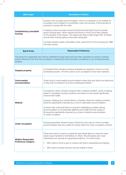| <b>Band type</b>                                        | <b>Summary of criteria</b>                                                                                                                                                                                                                                                                                                                                                                                                                                                                                                                                                                                                  |
|---------------------------------------------------------|-----------------------------------------------------------------------------------------------------------------------------------------------------------------------------------------------------------------------------------------------------------------------------------------------------------------------------------------------------------------------------------------------------------------------------------------------------------------------------------------------------------------------------------------------------------------------------------------------------------------------------|
| Unsatisfactory/unsuitable<br>housing                    | A person who occupies accommodation, which is in disrepair or not suitable for<br>occupation and is subject to a prohibition order and recovery of the premises is<br>required to comply with the order.<br>A statutory notice has been served by Rushmoor Borough Council's private<br>sector housing team, which requires the tenant to move out of their property<br>for the duration of the repairs. The repairs are likely to take longer than 16 weeks<br>and all other housing options have been exhausted.<br>A private property where a demolition order under Part IX of the Housing Act 1989<br>has been served. |
| <b>Band three</b>                                       | <b>Reasonable Preference</b>                                                                                                                                                                                                                                                                                                                                                                                                                                                                                                                                                                                                |
| scheme.                                                 | This band is for applicants who have an identified housing need and have been assessed as having a medium<br>priority. Placement into this band is subject to meeting the local connection as defined in our housing allocation                                                                                                                                                                                                                                                                                                                                                                                             |
| <b>Adapted property</b>                                 | A household that includes someone assessed as needing to move to a more<br>accessible property. All other options such as adaptions have been explored.                                                                                                                                                                                                                                                                                                                                                                                                                                                                     |
| Overcrowded<br>accommodation                            | Those living in overcrowded accommodation where they lack either two bedrooms<br>or they lack one bedroom and have inadequate facilities.*                                                                                                                                                                                                                                                                                                                                                                                                                                                                                  |
| <b>Medical</b>                                          | A household, which includes someone with a medical condition, which is directly<br>linked to unsuitable housing conditions and where a move would significantly<br>improve their health.<br>A person suffering from mental illness or disorder, where the medical condition<br>would be significantly improved by a move to alternative accommodation.<br>A person with a terminal illness or long-term debilitating condition whose<br>accommodation is not adversely affecting their health but their quality of<br>life would be significantly improved by a move to settled accommodation<br>or closer to support.      |
| <b>Under-occupation</b>                                 | Housing association tenants living in Rushmoor who want to move to smaller<br>accommodation and who qualify for priority within the under occupation scheme.                                                                                                                                                                                                                                                                                                                                                                                                                                                                |
| <b>Welfare Reasonable</b><br><b>Preference Category</b> | Those who need to move to a particular area where failure to meet this need<br>would cause hardship to themselves or others. We will assess each case<br>individually and may ask for supporting evidence. To include those:<br>Who need to move to give or receive care that is substantial and ongoing<br>$\bullet$<br>Who need to access services and are unable to travel<br>$\bullet$                                                                                                                                                                                                                                  |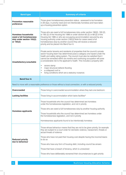| <b>Band type</b>                                                                                 | <b>Summary of criteria</b>                                                                                                                                                                                                                                                                                                                                                                                                                                                                                                                                                               |  |  |
|--------------------------------------------------------------------------------------------------|------------------------------------------------------------------------------------------------------------------------------------------------------------------------------------------------------------------------------------------------------------------------------------------------------------------------------------------------------------------------------------------------------------------------------------------------------------------------------------------------------------------------------------------------------------------------------------------|--|--|
| <b>Prevention reasonable</b><br>preference                                                       | Those given homelessness prevention status - assessed to be homeless<br>in 28 days, in priority need and not intentionally homeless and have taken<br>up a housing prevention option.                                                                                                                                                                                                                                                                                                                                                                                                    |  |  |
| <b>Homeless households</b><br>owed a full homelessness<br>duty under section 193(2)<br>or 195(2) | Those who are owed a full homelessness duty under section 190(2), 193 (2),<br>or 195 (2) of the Housing Act 1996 or under section 65 (2) or 68 (2) of the<br>Housing Act 1985 or who are occupying accommodation secured by any<br>housing authority under section (192(3) Note for cases owed a full<br>homelessness duty by another council they will receive a reduced<br>priority and be placed into Band four A.                                                                                                                                                                    |  |  |
| Unsatisfactory/unsuitable                                                                        | Private sector tenants and residents of properties that the council's private<br>sector housing team has determined pose a category one hazard under the<br>health and safety rating system. The council must also be satisfied that it<br>cannot be remedied within six months and continuing occupation will pose<br>a considerable risk to the applicant's health. This includes a property with:<br>severe damp<br>$\bullet$<br>major structural defects flooding<br>$\bullet$<br>a collapsed roof or<br>$\bullet$<br>living conditions which are a statutory nuisance.<br>$\bullet$ |  |  |
| <b>Band four A</b>                                                                               |                                                                                                                                                                                                                                                                                                                                                                                                                                                                                                                                                                                          |  |  |
|                                                                                                  | Need to move with a reasonable preference or those without a local connection, or with a reduced priority                                                                                                                                                                                                                                                                                                                                                                                                                                                                                |  |  |
| Overcrowded                                                                                      | Those living in overcrowded accommodation where they lack one bedroom.                                                                                                                                                                                                                                                                                                                                                                                                                                                                                                                   |  |  |
| <b>Lacking facilities</b>                                                                        | Those living in accommodation which lacks facilities*                                                                                                                                                                                                                                                                                                                                                                                                                                                                                                                                    |  |  |
| <b>Homeless applicants</b>                                                                       | Those households who the council has determined are homeless<br>under the homelessness legislation, and not in priority<br>Those who are owed a full homelessness duty by another housing authority<br>Those households who the council has determined are homeless under<br>the homelessness legislation, and not in priority<br>Homelessness applicants found to be intentionally homeless                                                                                                                                                                                             |  |  |
| <b>Reduced priority</b><br>due to behaviour                                                      | Those whose behaviour means that they are not to be given priority, for example<br>they are subject to a court order for domestic violence, harassment, threats or<br>actual threats of violence<br>Those who have not paid their housing cost despite having the income/means<br>to do so<br>Those who have any form of housing debt, including council tax arrears<br>Those that have a breach of tenancy, which is unresolved<br>Those who have deliberately worsened their circumstances to gain priority                                                                            |  |  |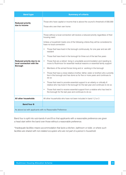| <b>Band type</b>                                                          | <b>Summary of criteria</b>                                                                                                                                                                                                                                                                                                                                                                                                                                                                                                                                                                                                                                                                                                                                                                                                                                                                                                                                                                                                                                                                                                                                                                                            |  |  |
|---------------------------------------------------------------------------|-----------------------------------------------------------------------------------------------------------------------------------------------------------------------------------------------------------------------------------------------------------------------------------------------------------------------------------------------------------------------------------------------------------------------------------------------------------------------------------------------------------------------------------------------------------------------------------------------------------------------------------------------------------------------------------------------------------------------------------------------------------------------------------------------------------------------------------------------------------------------------------------------------------------------------------------------------------------------------------------------------------------------------------------------------------------------------------------------------------------------------------------------------------------------------------------------------------------------|--|--|
| <b>Reduced priority</b><br>due to income                                  | Those who have capital or income that is above the council's threshold of £60,000<br>Those who own their own home                                                                                                                                                                                                                                                                                                                                                                                                                                                                                                                                                                                                                                                                                                                                                                                                                                                                                                                                                                                                                                                                                                     |  |  |
| Reduced priority due to no<br>local connection with the<br><b>Borough</b> | Those without a local connection will receive a reduced priority regardless of their<br>housing need.<br>Unless a household meets one of the following criteria they will be considered to<br>have no local connection:<br>Those that have lived in the borough continuously, for one year and are still<br>$\bullet$<br>resident<br>Those that have lived in the borough for three out of the last five years<br>$\bullet$<br>Those that are a retired living in unsuitable accommodation and needing to<br>$\bullet$<br>move to Rushmoor for essential medical reasons or essential family support<br>Members of the armed forces living and or working in the borough<br>$\bullet$<br>Those that have a close relative (mother, father, sister or brother) who currently<br>$\bullet$<br>live in the borough and has done so for five or more years and continues to<br>do so<br>Those that need to provide essential support to an elderly or critically ill<br>$\bullet$<br>relative who has lived in the borough for the last year and continues to do so<br>Those that need to receive essential support from a relative who has lived in<br>$\bullet$<br>the borough for the last year and continues to do so |  |  |
| All other households                                                      | All other households who have not been included in band 1,2 or 3                                                                                                                                                                                                                                                                                                                                                                                                                                                                                                                                                                                                                                                                                                                                                                                                                                                                                                                                                                                                                                                                                                                                                      |  |  |
| <b>Band four B</b>                                                        |                                                                                                                                                                                                                                                                                                                                                                                                                                                                                                                                                                                                                                                                                                                                                                                                                                                                                                                                                                                                                                                                                                                                                                                                                       |  |  |
| As above but with applicants with no Reasonable Preference                |                                                                                                                                                                                                                                                                                                                                                                                                                                                                                                                                                                                                                                                                                                                                                                                                                                                                                                                                                                                                                                                                                                                                                                                                                       |  |  |

Band four is split into sub-bands A and B so that applicants with a reasonable preference are given a head start within the band over those without a reasonable preference.

*\*Inadequate facilities means accommodation that lacks a kitchen, bathroom or toilet, or where such facilities are shared with non-related occupiers who are not part of a person's household.*